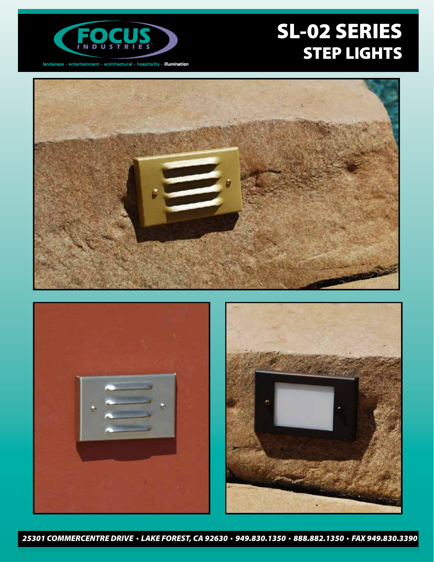

 $land \texttt{score} \cdot \textsf{entertainment} \cdot \textsf{architectural} \cdot \textsf{hostality} \cdot \textsf{illumination}$ 

# SL-02 SERIES STEP LIGHTS





*25301 COMMERCENTRE DRIVE LAKE FOREST, CA 92630 949.830.1350 888.882.1350 FAX 949.830.3390*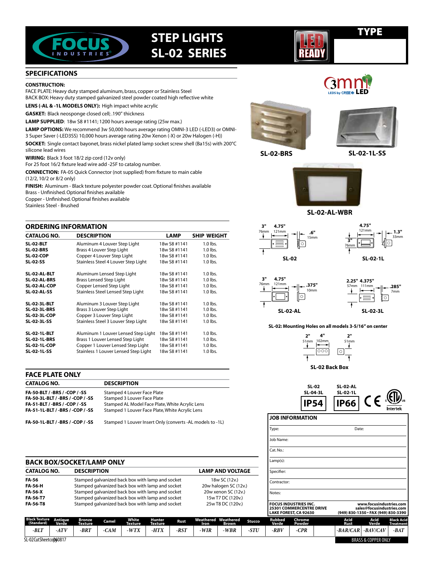

# **STEP LIGHTS SL-02 SERIES**

# TYPE

**3** LED

### **SPECIFICATIONS**

#### **CONSTRUCTION:**

FACE PLATE: Heavy duty stamped aluminum, brass, copper or Stainless Steel BACK BOX: Heavy duty stamped galvanized steel powder coated high reflective white

**LENS (-AL & -1L MODELS ONLY):** High impact white acrylic

**GASKET:** Black neosponge closed cell; .190" thickness

**LAMP SUPPLIED**: 18w S8 #1141; 1200 hours average rating (25w max.)

**LAMP OPTIONS:** We recommend 3w 50,000 hours average rating OMNI-3 LED (-LED3) or OMNI-3 Super Saver (-LED3SS) 10,000 hours average rating 20w Xenon (-X) or 20w Halogen (-H)) **SOCKET:** Single contact bayonet, brass nickel plated lamp socket screw shell (Ba15s) with 200°C silicone lead wires

**WIRING:** Black 3 foot 18/2 zip cord (12v only)

For 25 foot 16/2 fixture lead wire add -25F to catalog number.

**CONNECTION:** FA-05 Quick Connector (not supplied) from fixture to main cable (12/2, 10/2 or 8/2 only)

**FINISH:** Aluminum - Black texture polyester powder coat. Optional finishes available Brass - Unfinished. Optional finishes available Copper - Unfinished. Optional finishes available

Stainless Steel - Brushed

| <b>ORDERING INFORMATION</b> |                                      | <b>LAMP</b><br>SHIP WEIGHT<br>1.0 lbs.<br>18w S8 #1141<br>18w S8 #1141<br>1.0 lbs.<br>18w S8 #1141<br>1.0 lbs.<br>18w S8 #1141<br>1.0 lbs.<br>18w S8 #1141<br>$1.0$ lbs.<br>18w S8 #1141<br>$1.0$ lbs.<br>18w S8 #1141<br>1.0 lbs.<br>18w S8 #1141<br>1.0 lbs.<br>18w S8 #1141<br>$1.0$ lbs.<br>1.0 lbs.<br>18w S8 #1141<br>18w S8 #1141<br>$1.0$ lbs.<br>18w S8 #1141<br>$1.0$ lbs.<br>$1.0$ lbs.<br>18w S8 #1141 |            |  |  |
|-----------------------------|--------------------------------------|--------------------------------------------------------------------------------------------------------------------------------------------------------------------------------------------------------------------------------------------------------------------------------------------------------------------------------------------------------------------------------------------------------------------|------------|--|--|
| <b>CATALOG NO.</b>          | <b>DESCRIPTION</b>                   |                                                                                                                                                                                                                                                                                                                                                                                                                    |            |  |  |
| <b>SL-02-BLT</b>            | Aluminum 4 Louver Step Light         |                                                                                                                                                                                                                                                                                                                                                                                                                    |            |  |  |
| <b>SL-02-BRS</b>            | Brass 4 Louver Step Light            |                                                                                                                                                                                                                                                                                                                                                                                                                    |            |  |  |
| SL-02-COP                   | Copper 4 Louver Step Light           |                                                                                                                                                                                                                                                                                                                                                                                                                    |            |  |  |
| <b>SL-02-SS</b>             | Stainless Steel 4 Louver Step Light  |                                                                                                                                                                                                                                                                                                                                                                                                                    |            |  |  |
| SL-02-AL-BLT                | Aluminum Lensed Step Light           |                                                                                                                                                                                                                                                                                                                                                                                                                    |            |  |  |
| SL-02-AL-BRS                | <b>Brass Lensed Step Light</b>       |                                                                                                                                                                                                                                                                                                                                                                                                                    |            |  |  |
| SL-02-AL-COP                | Copper Lensed Step Light             |                                                                                                                                                                                                                                                                                                                                                                                                                    |            |  |  |
| <b>SL-02-AL-SS</b>          | Stainless Steel Lensed Step Light    |                                                                                                                                                                                                                                                                                                                                                                                                                    |            |  |  |
| <b>SL-02-3L-BLT</b>         | Aluminum 3 Louver Step Light         |                                                                                                                                                                                                                                                                                                                                                                                                                    |            |  |  |
| <b>SL-02-3L-BRS</b>         | Brass 3 Louver Step Light            |                                                                                                                                                                                                                                                                                                                                                                                                                    |            |  |  |
| <b>SL-02-3L-COP</b>         | Copper 3 Louver Step Light           |                                                                                                                                                                                                                                                                                                                                                                                                                    |            |  |  |
| SL-02-3L-SS                 | Stainless Steel 3 Louver Step Light  |                                                                                                                                                                                                                                                                                                                                                                                                                    |            |  |  |
| <b>SL-02-1L-BLT</b>         | Aluminum 1 Louver Lensed Step Light  |                                                                                                                                                                                                                                                                                                                                                                                                                    |            |  |  |
| <b>SL-02-1L-BRS</b>         | Brass 1 Louver Lensed Step Light     | 18w S8 #1141                                                                                                                                                                                                                                                                                                                                                                                                       | $1.0$ lbs. |  |  |
| <b>SL-02-1L-COP</b>         | Copper 1 Louver Lensed Step Light    | 18w S8 #1141                                                                                                                                                                                                                                                                                                                                                                                                       | $1.0$ lbs. |  |  |
| SL-02-1L-SS                 | Stainless 1 Louver Lensed Step Light | 18w S8 #1141                                                                                                                                                                                                                                                                                                                                                                                                       | 1.0 lbs.   |  |  |

#### **FACE PLATE ONLY CATALOG NO. DESCRIPTION** FA-50-BLT / -BRS / -COP / -SS Stamped 4 Louver Face Plate **FA-50-3L-BLT / -BRS / -COP / -SS** Stamped 3 Louver Face Plate<br>**FA-51-BLT / -BRS / -COP / -SS** Stamped AL Model Face Plate **FA-51-BLT / -BRS / -COP / -SS** Stamped AL Model Face Plate, White Acrylic Lens<br>**FA-51-1L-BLT / -BRS / -COP / -SS** Stamped 1 Louver Face Plate, White Acrylic Lens **Stamped 1 Louver Face Plate, White Acrylic Lens FA-50-1L-BLT / -BRS / -COP / -SS** Stamped 1 Louver Insert Only (converts -AL models to -1L) **SL-02-1L SL-02-1L**

| <b>BACK BOX/SOCKET/LAMP ONLY</b> |                                                  |                         |  |  |  |  |  |
|----------------------------------|--------------------------------------------------|-------------------------|--|--|--|--|--|
| <b>CATALOG NO.</b>               | <b>DESCRIPTION</b>                               | <b>LAMP AND VOLTAGE</b> |  |  |  |  |  |
| FA-56                            | Stamped galvanized back box with lamp and socket | 18w SC (12v.)           |  |  |  |  |  |
| <b>FA-56-H</b>                   | Stamped galvanized back box with lamp and socket | 20w halogen SC (12v.)   |  |  |  |  |  |
| <b>FA-56-X</b>                   | Stamped galvanized back box with lamp and socket | 20w xenon SC (12v.)     |  |  |  |  |  |
| FA-56-T7                         | Stamped galvanized back box with lamp and socket | 15w T7 DC (120v.)       |  |  |  |  |  |
| <b>FA-56-T8</b>                  | Stamped galvanized back box with lamp and socket | 25w T8 DC (120v.)       |  |  |  |  |  |

**White Texture** *-WTX*

**Camel** *-CAM*

**Bronze Texture** *-BRT*





LED



**SL-02-BRS SL-02-1L-SS**



**SL-02-AL-WBR**



LED READY

**3**





**SL-02-VERTICAL SL-02: Mounting Holes on all models 3-5/16" on center**



**SL-02 BACK BOX SL-02-3L SL-02 Back Box**



### **JOB INFORMATION**

**Stucco** *-STU*

**Brow** *-WBR*

**Weathered Iron** *-WIR*

**Rust** *-RST*

**Hunter Texture** *-HTX*

| Type:                                                                                           |                  |  | Date:                                                                                       |                     |                                       |  |  |  |
|-------------------------------------------------------------------------------------------------|------------------|--|---------------------------------------------------------------------------------------------|---------------------|---------------------------------------|--|--|--|
| Job Name:                                                                                       |                  |  |                                                                                             |                     |                                       |  |  |  |
| Cat. No.:                                                                                       |                  |  |                                                                                             |                     |                                       |  |  |  |
| $Lamp(s)$ :                                                                                     |                  |  |                                                                                             |                     |                                       |  |  |  |
| Specifier:                                                                                      |                  |  |                                                                                             |                     |                                       |  |  |  |
| Contractor:                                                                                     |                  |  |                                                                                             |                     |                                       |  |  |  |
| Notes:                                                                                          |                  |  |                                                                                             |                     |                                       |  |  |  |
| <b>FOCUS INDUSTRIES INC.</b><br><b>25301 COMMERCENTRE DRIVE</b><br><b>LAKE FOREST, CA 92630</b> |                  |  | www.focusindustries.com<br>sales@focusindustries.com<br>(949) 830-1350 · FAX (949) 830-3390 |                     |                                       |  |  |  |
| <b>Rubbed</b><br>Verde                                                                          | Chrome<br>Powder |  | Acid<br><b>Rust</b>                                                                         | Acid<br>Verde       | <b>Black Acid</b><br><b>Treatment</b> |  |  |  |
| -RBV                                                                                            | -CPR             |  |                                                                                             | -BAR/CAR   -BAV/CAV | -BAT                                  |  |  |  |

SL-02 Cut Sheet cop60817

**Black Texture (Standard)** *-BLT*

**Antique Verde** *-ATV*

BRASS & COPPER ONLY